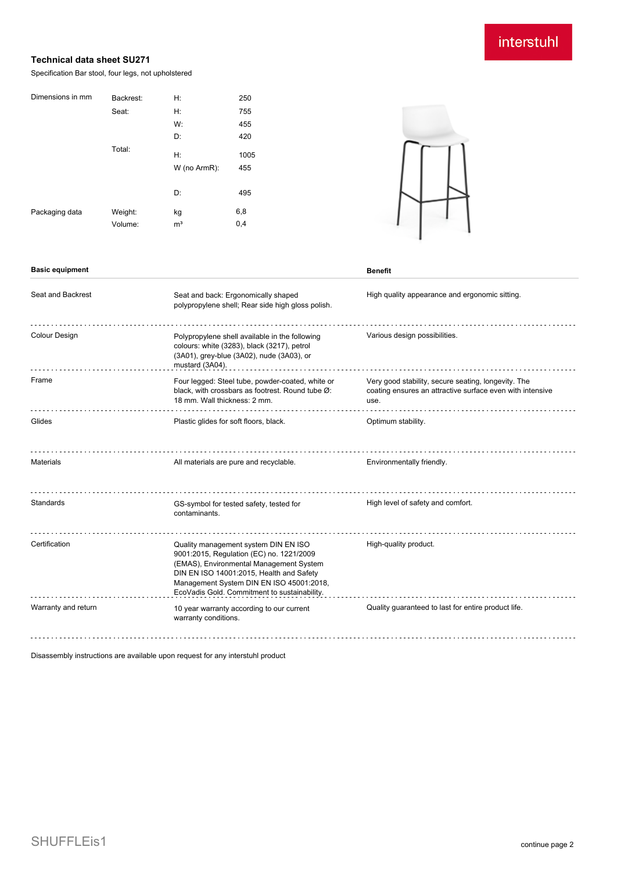# interstuhl

### **Technical data sheet SU271**

Specification Bar stool, four legs, not upholstered

| Dimensions in mm | Backrest: | H:             | 250  |
|------------------|-----------|----------------|------|
|                  | Seat:     | Н:             | 755  |
|                  |           | W:             | 455  |
|                  |           | D:             | 420  |
|                  | Total:    | H:             | 1005 |
|                  |           | W (no ArmR):   | 455  |
|                  |           |                |      |
|                  |           | D:             | 495  |
| Packaging data   | Weight:   | kg             | 6,8  |
|                  | Volume:   | m <sup>3</sup> | 0,4  |
|                  |           |                |      |



| <b>Basic equipment</b> |                                                                                          | Benefit               |
|------------------------|------------------------------------------------------------------------------------------|-----------------------|
| Seat and Backrest      | Seat and back: Ergonomically shaped<br>polypropylene shell; Rear side high gloss polish. | High quality appearar |

| Seat and Backrest   | Seat and back: Ergonomically shaped<br>polypropylene shell; Rear side high gloss polish.                                                                                                                                                                            | High quality appearance and ergonomic sitting.                                                                           |
|---------------------|---------------------------------------------------------------------------------------------------------------------------------------------------------------------------------------------------------------------------------------------------------------------|--------------------------------------------------------------------------------------------------------------------------|
| Colour Design       | Polypropylene shell available in the following<br>colours: white (3283), black (3217), petrol<br>(3A01), grey-blue (3A02), nude (3A03), or<br>mustard (3A04).                                                                                                       | Various design possibilities.                                                                                            |
| Frame               | Four legged: Steel tube, powder-coated, white or<br>black, with crossbars as footrest. Round tube Ø:<br>18 mm. Wall thickness: 2 mm.                                                                                                                                | Very good stability, secure seating, longevity. The<br>coating ensures an attractive surface even with intensive<br>use. |
| Glides              | Plastic glides for soft floors, black.                                                                                                                                                                                                                              | Optimum stability.                                                                                                       |
| <b>Materials</b>    | All materials are pure and recyclable.                                                                                                                                                                                                                              | Environmentally friendly.                                                                                                |
| Standards           | GS-symbol for tested safety, tested for<br>contaminants.                                                                                                                                                                                                            | High level of safety and comfort.                                                                                        |
| Certification       | Quality management system DIN EN ISO<br>9001:2015, Regulation (EC) no. 1221/2009<br>(EMAS), Environmental Management System<br>DIN EN ISO 14001:2015, Health and Safety<br>Management System DIN EN ISO 45001:2018,<br>EcoVadis Gold. Commitment to sustainability. | High-quality product.                                                                                                    |
| Warranty and return | 10 year warranty according to our current<br>warranty conditions.                                                                                                                                                                                                   | Quality guaranteed to last for entire product life.                                                                      |

Disassembly instructions are available upon request for any interstuhl product